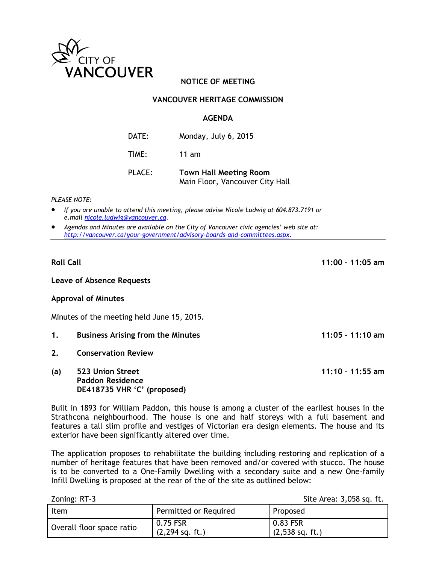

# **NOTICE OF MEETING**

## **VANCOUVER HERITAGE COMMISSION**

### **AGENDA**

| DATE: | Monday, July 6, 2015 |
|-------|----------------------|
| TIME: | 11 $am$              |

| <b>PLACE:</b> | <b>Town Hall Meeting Room</b>   |  |
|---------------|---------------------------------|--|
|               | Main Floor, Vancouver City Hall |  |

#### *PLEASE NOTE:*

- *If you are unable to attend this meeting, please advise Nicole Ludwig at 604.873.7191 or e.mail [nicole.ludwig@vancouver.ca](mailto:nicole.ludwig@vancouver.ca)*.
- *Agendas and Minutes are available on the City of Vancouver civic agencies' web site at: <http://vancouver.ca/your-government/advisory-boards-and-committees.aspx>*.

**Roll Call 11:00 – 11:05 am**

**Leave of Absence Requests** 

#### **Approval of Minutes**

Minutes of the meeting held June 15, 2015.

- **1. Business Arising from the Minutes 11:05 – 11:10 am**
- **2. Conservation Review**
- **(a) 523 Union Street 11:10 – 11:55 am Paddon Residence DE418735 VHR 'C' (proposed)**

Built in 1893 for William Paddon, this house is among a cluster of the earliest houses in the Strathcona neighbourhood. The house is one and half storeys with a full basement and features a tall slim profile and vestiges of Victorian era design elements. The house and its exterior have been significantly altered over time.

The application proposes to rehabilitate the building including restoring and replication of a number of heritage features that have been removed and/or covered with stucco. The house is to be converted to a One-Family Dwelling with a secondary suite and a new One-family Infill Dwelling is proposed at the rear of the of the site as outlined below:

Zoning: RT-3 Site Area: 3,058 sq. ft.

| Item                      | Permitted or Required         | Proposed                              |
|---------------------------|-------------------------------|---------------------------------------|
| Overall floor space ratio | 0.75 FSR<br>$(2,294$ sq. ft.) | 0.83 FSR<br>$(2,538 \text{ sq. ft.})$ |